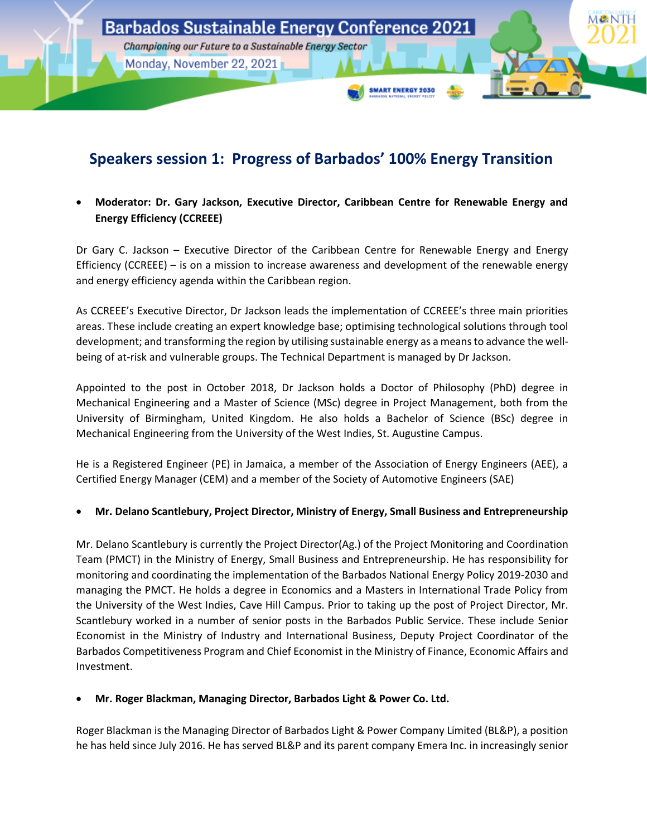

## **Speakers session 1: Progress of Barbados' 100% Energy Transition**

• **Moderator: Dr. Gary Jackson, Executive Director, Caribbean Centre for Renewable Energy and Energy Efficiency (CCREEE)**

Dr Gary C. Jackson – Executive Director of the Caribbean Centre for Renewable Energy and Energy Efficiency (CCREEE) – is on a mission to increase awareness and development of the renewable energy and energy efficiency agenda within the Caribbean region.

As CCREEE's Executive Director, Dr Jackson leads the implementation of CCREEE's three main priorities areas. These include creating an expert knowledge base; optimising technological solutions through tool development; and transforming the region by utilising sustainable energy as a means to advance the wellbeing of at-risk and vulnerable groups. The Technical Department is managed by Dr Jackson.

Appointed to the post in October 2018, Dr Jackson holds a Doctor of Philosophy (PhD) degree in Mechanical Engineering and a Master of Science (MSc) degree in Project Management, both from the University of Birmingham, United Kingdom. He also holds a Bachelor of Science (BSc) degree in Mechanical Engineering from the University of the West Indies, St. Augustine Campus.

He is a Registered Engineer (PE) in Jamaica, a member of the Association of Energy Engineers (AEE), a Certified Energy Manager (CEM) and a member of the Society of Automotive Engineers (SAE)

### • **Mr. Delano Scantlebury, Project Director, Ministry of Energy, Small Business and Entrepreneurship**

Mr. Delano Scantlebury is currently the Project Director(Ag.) of the Project Monitoring and Coordination Team (PMCT) in the Ministry of Energy, Small Business and Entrepreneurship. He has responsibility for monitoring and coordinating the implementation of the Barbados National Energy Policy 2019-2030 and managing the PMCT. He holds a degree in Economics and a Masters in International Trade Policy from the University of the West Indies, Cave Hill Campus. Prior to taking up the post of Project Director, Mr. Scantlebury worked in a number of senior posts in the Barbados Public Service. These include Senior Economist in the Ministry of Industry and International Business, Deputy Project Coordinator of the Barbados Competitiveness Program and Chief Economist in the Ministry of Finance, Economic Affairs and Investment.

### • **Mr. Roger Blackman, Managing Director, Barbados Light & Power Co. Ltd.**

Roger Blackman is the Managing Director of Barbados Light & Power Company Limited (BL&P), a position he has held since July 2016. He has served BL&P and its parent company Emera Inc. in increasingly senior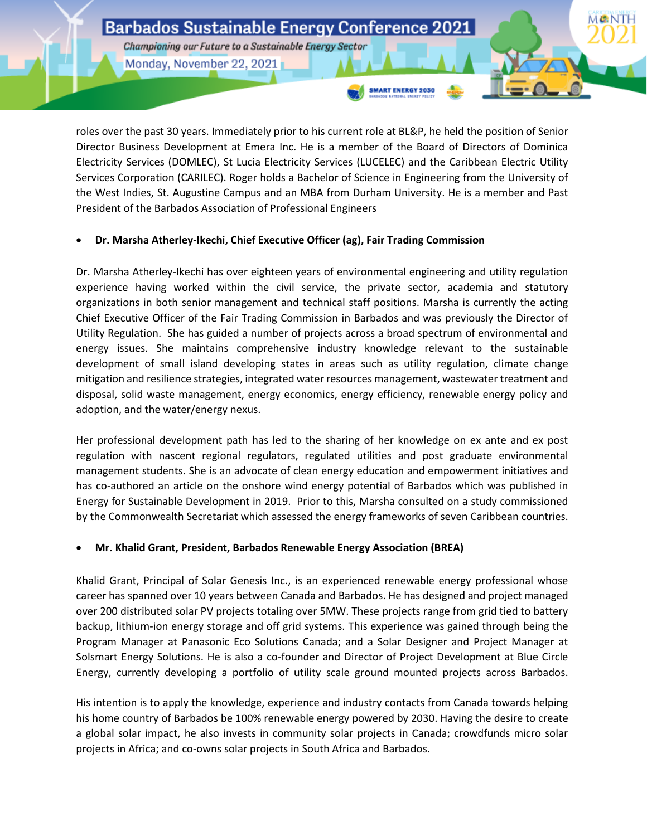# **Barbados Sustainable Energy Conference 2021**

Championing our Future to a Sustainable Energy Sector Monday, November 22, 2021

roles over the past 30 years. Immediately prior to his current role at BL&P, he held the position of Senior Director Business Development at Emera Inc. He is a member of the Board of Directors of Dominica Electricity Services (DOMLEC), St Lucia Electricity Services (LUCELEC) and the Caribbean Electric Utility Services Corporation (CARILEC). Roger holds a Bachelor of Science in Engineering from the University of the West Indies, St. Augustine Campus and an MBA from Durham University. He is a member and Past President of the Barbados Association of Professional Engineers

**SMART ENERGY 2030** 

### • **Dr. Marsha Atherley-Ikechi, Chief Executive Officer (ag), Fair Trading Commission**

Dr. Marsha Atherley-Ikechi has over eighteen years of environmental engineering and utility regulation experience having worked within the civil service, the private sector, academia and statutory organizations in both senior management and technical staff positions. Marsha is currently the acting Chief Executive Officer of the Fair Trading Commission in Barbados and was previously the Director of Utility Regulation. She has guided a number of projects across a broad spectrum of environmental and energy issues. She maintains comprehensive industry knowledge relevant to the sustainable development of small island developing states in areas such as utility regulation, climate change mitigation and resilience strategies, integrated water resources management, wastewater treatment and disposal, solid waste management, energy economics, energy efficiency, renewable energy policy and adoption, and the water/energy nexus.

Her professional development path has led to the sharing of her knowledge on ex ante and ex post regulation with nascent regional regulators, regulated utilities and post graduate environmental management students. She is an advocate of clean energy education and empowerment initiatives and has co-authored an article on the onshore wind energy potential of Barbados which was published in Energy for Sustainable Development in 2019. Prior to this, Marsha consulted on a study commissioned by the Commonwealth Secretariat which assessed the energy frameworks of seven Caribbean countries.

### • **Mr. Khalid Grant, President, Barbados Renewable Energy Association (BREA)**

Khalid Grant, Principal of Solar Genesis Inc., is an experienced renewable energy professional whose career has spanned over 10 years between Canada and Barbados. He has designed and project managed over 200 distributed solar PV projects totaling over 5MW. These projects range from grid tied to battery backup, lithium-ion energy storage and off grid systems. This experience was gained through being the Program Manager at Panasonic Eco Solutions Canada; and a Solar Designer and Project Manager at Solsmart Energy Solutions. He is also a co-founder and Director of Project Development at Blue Circle Energy, currently developing a portfolio of utility scale ground mounted projects across Barbados.

His intention is to apply the knowledge, experience and industry contacts from Canada towards helping his home country of Barbados be 100% renewable energy powered by 2030. Having the desire to create a global solar impact, he also invests in community solar projects in Canada; crowdfunds micro solar projects in Africa; and co-owns solar projects in South Africa and Barbados.